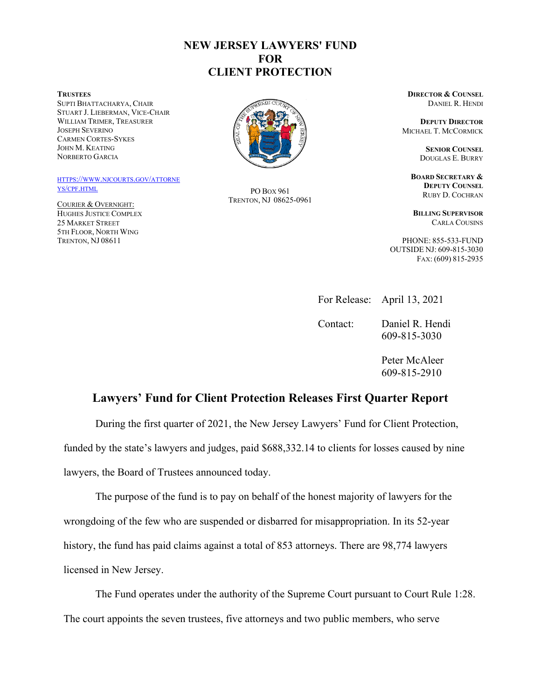## **NEW JERSEY LAWYERS' FUND FOR CLIENT PROTECTION**

**TRUSTEES**

SUPTI BHATTACHARYA, CHAIR STUART J. LIEBERMAN, VICE-CHAIR WILLIAM TRIMER, TREASURER JOSEPH SEVERINO CARMEN CORTES-SYKES JOHN M. KEATING NORBERTO GARCIA

[HTTPS://WWW.NJCOURTS.GOV/ATTORNE](https://www.njcourts.gov/attorneys/cpf.html) [YS/CPF.HTML](https://www.njcourts.gov/attorneys/cpf.html)

COURIER & OVERNIGHT: HUGHES JUSTICE COMPLEX 25 MARKET STREET 5TH FLOOR, NORTH WING TRENTON, NJ 08611



PO BOX 961 TRENTON, NJ 08625-0961 **DIRECTOR & COUNSEL** DANIEL R. HENDI

**DEPUTY DIRECTOR** MICHAEL T. MCCORMICK

> **SENIOR COUNSEL**  DOUGLAS E. BURRY

**BOARD SECRETARY & DEPUTY COUNSEL** RUBY D. COCHRAN

**BILLING SUPERVISOR**  CARLA COUSINS

PHONE: 855-533-FUND OUTSIDE NJ: 609-815-3030 FAX: (609) 815-2935

For Release: April 13, 2021

Contact: Daniel R. Hendi 609-815-3030

> Peter McAleer 609-815-2910

## **Lawyers' Fund for Client Protection Releases First Quarter Report**

During the first quarter of 2021, the New Jersey Lawyers' Fund for Client Protection,

funded by the state's lawyers and judges, paid \$688,332.14 to clients for losses caused by nine lawyers, the Board of Trustees announced today.

The purpose of the fund is to pay on behalf of the honest majority of lawyers for the wrongdoing of the few who are suspended or disbarred for misappropriation. In its 52-year history, the fund has paid claims against a total of 853 attorneys. There are 98,774 lawyers licensed in New Jersey.

The Fund operates under the authority of the Supreme Court pursuant to Court Rule 1:28. The court appoints the seven trustees, five attorneys and two public members, who serve